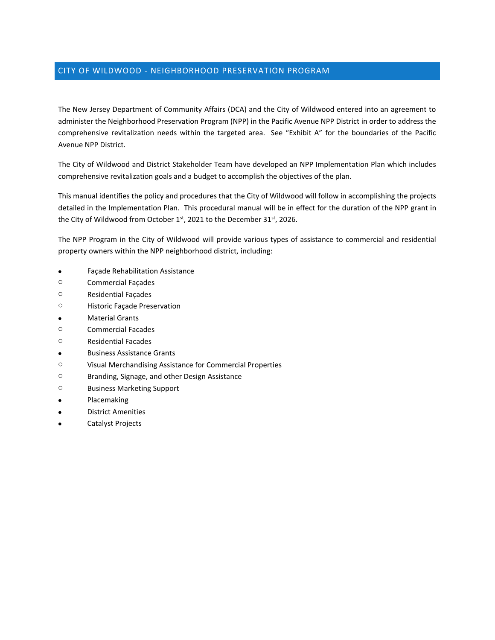# CITY OF WILDWOOD - NEIGHBORHOOD PRESERVATION PROGRAM

The New Jersey Department of Community Affairs (DCA) and the City of Wildwood entered into an agreement to administer the Neighborhood Preservation Program (NPP) in the Pacific Avenue NPP District in order to address the comprehensive revitalization needs within the targeted area. See "Exhibit A" for the boundaries of the Pacific Avenue NPP District.

The City of Wildwood and District Stakeholder Team have developed an NPP Implementation Plan which includes comprehensive revitalization goals and a budget to accomplish the objectives of the plan.

This manual identifies the policy and procedures that the City of Wildwood will follow in accomplishing the projects detailed in the Implementation Plan. This procedural manual will be in effect for the duration of the NPP grant in the City of Wildwood from October  $1^{st}$ , 2021 to the December 31 $st$ , 2026.

The NPP Program in the City of Wildwood will provide various types of assistance to commercial and residential property owners within the NPP neighborhood district, including:

- Façade Rehabilitation Assistance
- o Commercial Façades
- o Residential Façades
- o Historic Façade Preservation
- Material Grants
- o Commercial Facades
- o Residential Facades
- Business Assistance Grants
- o Visual Merchandising Assistance for Commercial Properties
- o Branding, Signage, and other Design Assistance
- o Business Marketing Support
- **•** Placemaking
- District Amenities
- Catalyst Projects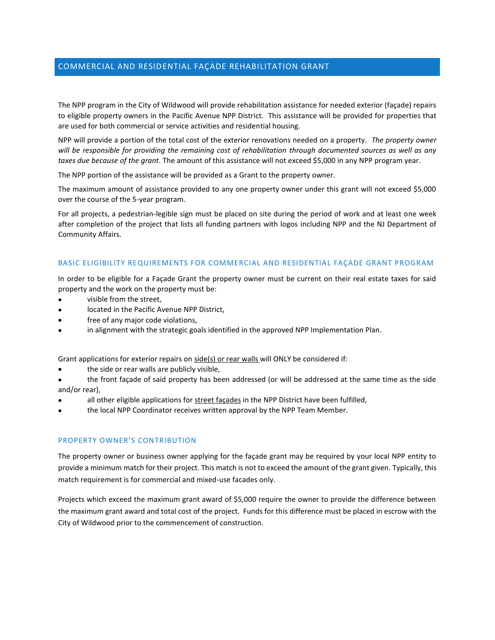# COMMERCIAL AND RESIDENTIAL FAÇADE REHABILITATION GRANT

The NPP program in the City of Wildwood will provide rehabilitation assistance for needed exterior (façade) repairs to eligible property owners in the Pacific Avenue NPP District. This assistance will be provided for properties that are used for both commercial or service activities and residential housing.

NPP will provide a portion of the total cost of the exterior renovations needed on a property. *The property owner will be responsible for providing the remaining cost of rehabilitation through documented sources as well as any taxes due because of the grant*. The amount of this assistance will not exceed \$5,000 in any NPP program year.

The NPP portion of the assistance will be provided as a Grant to the property owner.

The maximum amount of assistance provided to any one property owner under this grant will not exceed \$5,000 over the course of the 5-year program.

For all projects, a pedestrian-legible sign must be placed on site during the period of work and at least one week after completion of the project that lists all funding partners with logos including NPP and the NJ Department of Community Affairs.

#### BASIC ELIGIBILITY REQUIREMENTS FOR COMMERCIAL AND RESIDENTIAL FAÇADE GRANT PROGRAM

In order to be eligible for a Façade Grant the property owner must be current on their real estate taxes for said property and the work on the property must be:

- visible from the street,
- located in the Pacific Avenue NPP District,
- free of any major code violations,
- in alignment with the strategic goals identified in the approved NPP Implementation Plan.

Grant applications for exterior repairs on side(s) or rear walls will ONLY be considered if:

the side or rear walls are publicly visible,

 the front façade of said property has been addressed (or will be addressed at the same time as the side and/or rear),

- all other eligible applications for street façades in the NPP District have been fulfilled,
- the local NPP Coordinator receives written approval by the NPP Team Member.

## PROPERTY OWNER'S CONTRIBUTION

The property owner or business owner applying for the façade grant may be required by your local NPP entity to provide a minimum match for their project. This match is not to exceed the amount of the grant given. Typically, this match requirement is for commercial and mixed-use facades only.

Projects which exceed the maximum grant award of \$5,000 require the owner to provide the difference between the maximum grant award and total cost of the project. Funds for this difference must be placed in escrow with the City of Wildwood prior to the commencement of construction.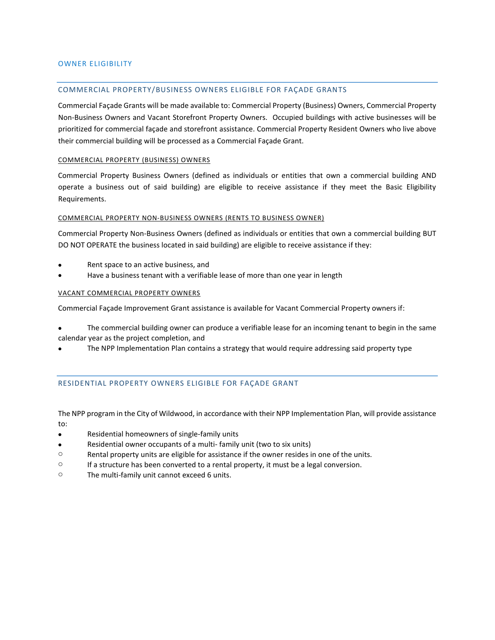### OWNER ELIGIBILITY

## COMMERCIAL PROPERTY/BUSINESS OWNERS ELIGIBLE FOR FAÇADE GRANTS

Commercial Façade Grants will be made available to: Commercial Property (Business) Owners, Commercial Property Non-Business Owners and Vacant Storefront Property Owners. Occupied buildings with active businesses will be prioritized for commercial façade and storefront assistance. Commercial Property Resident Owners who live above their commercial building will be processed as a Commercial Façade Grant.

#### COMMERCIAL PROPERTY (BUSINESS) OWNERS

Commercial Property Business Owners (defined as individuals or entities that own a commercial building AND operate a business out of said building) are eligible to receive assistance if they meet the Basic Eligibility Requirements.

#### COMMERCIAL PROPERTY NON-BUSINESS OWNERS (RENTS TO BUSINESS OWNER)

Commercial Property Non-Business Owners (defined as individuals or entities that own a commercial building BUT DO NOT OPERATE the business located in said building) are eligible to receive assistance if they:

- Rent space to an active business, and
- Have a business tenant with a verifiable lease of more than one year in length

#### VACANT COMMERCIAL PROPERTY OWNERS

Commercial Façade Improvement Grant assistance is available for Vacant Commercial Property owners if:

- The commercial building owner can produce a verifiable lease for an incoming tenant to begin in the same calendar year as the project completion, and
- The NPP Implementation Plan contains a strategy that would require addressing said property type

## RESIDENTIAL PROPERTY OWNERS ELIGIBLE FOR FAÇADE GRANT

The NPP program in the City of Wildwood, in accordance with their NPP Implementation Plan, will provide assistance to:

- Residential homeowners of single-family units
- Residential owner occupants of a multi- family unit (two to six units)
- o Rental property units are eligible for assistance if the owner resides in one of the units.
- $\circ$  If a structure has been converted to a rental property, it must be a legal conversion.
- o The multi-family unit cannot exceed 6 units.